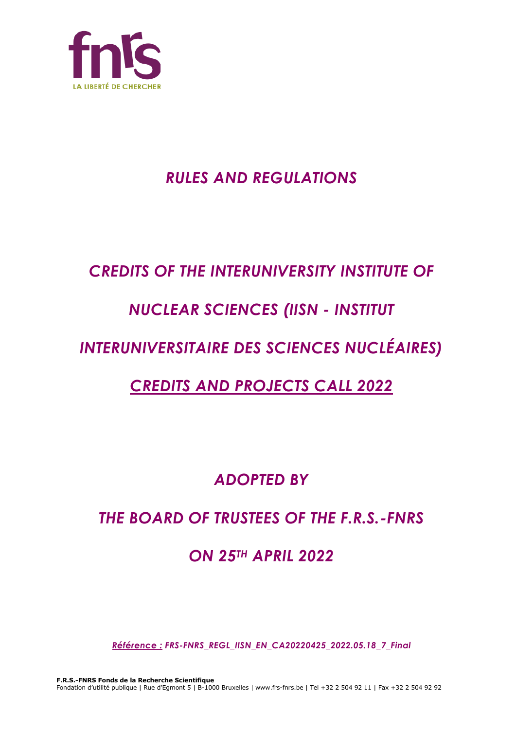

# *RULES AND REGULATIONS*

# *CREDITS OF THE INTERUNIVERSITY INSTITUTE OF*

# *NUCLEAR SCIENCES (IISN - INSTITUT*

# *INTERUNIVERSITAIRE DES SCIENCES NUCLÉAIRES)*

# *CREDITS AND PROJECTS CALL 2022*

*ADOPTED BY*

# *THE BOARD OF TRUSTEES OF THE F.R.S.-FNRS*

## *ON 25TH APRIL 2022*

*Référence : FRS-FNRS\_REGL\_IISN\_EN\_CA20220425\_2022.05.18\_7\_Final*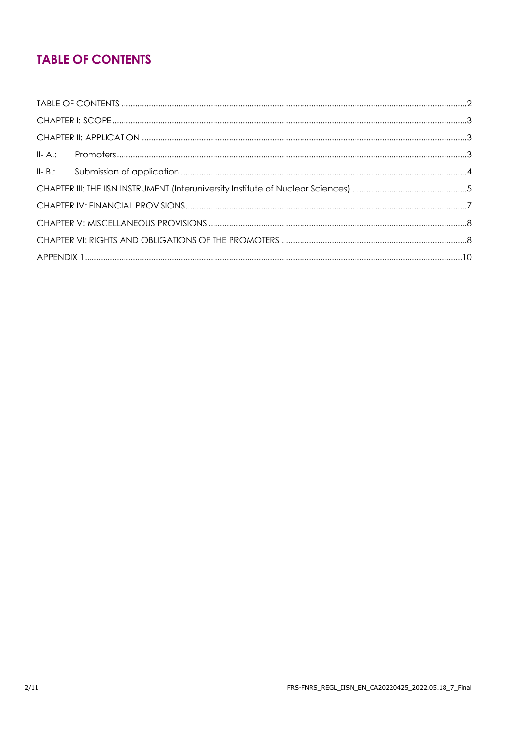## **TABLE OF CONTENTS**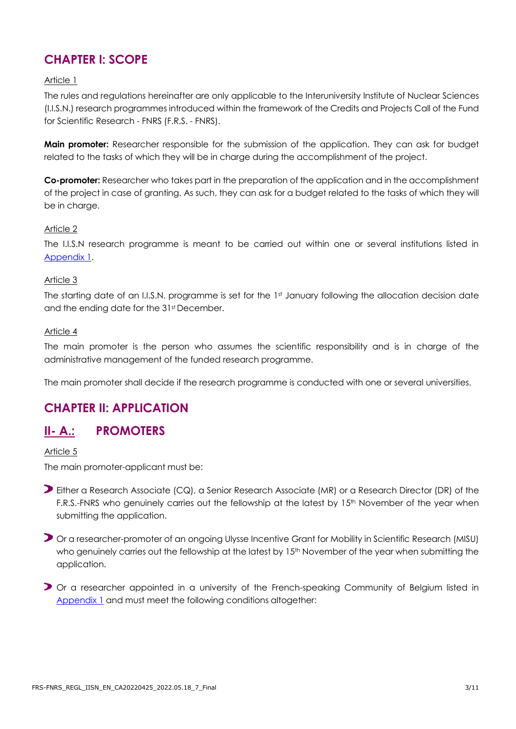## **CHAPTER I: SCOPE**

#### Article 1

The rules and regulations hereinafter are only applicable to the Interuniversity Institute of Nuclear Sciences (I.I.S.N.) research programmes introduced within the framework of the Credits and Projects Call of the Fund for Scientific Research - FNRS (F.R.S. - FNRS).

**Main promoter:** Researcher responsible for the submission of the application. They can ask for budget related to the tasks of which they will be in charge during the accomplishment of the project.

**Co-promoter:** Researcher who takes part in the preparation of the application and in the accomplishment of the project in case of granting. As such, they can ask for a budget related to the tasks of which they will be in charge.

#### Article 2

The I.I.S.N research programme is meant to be carried out within one or several institutions listed in [Appendix](#page-9-0) 1.

#### Article 3

The starting date of an I.I.S.N. programme is set for the 1st January following the allocation decision date and the ending date for the 31st December.

#### Article 4

The main promoter is the person who assumes the scientific responsibility and is in charge of the administrative management of the funded research programme.

The main promoter shall decide if the research programme is conducted with one or several universities.

## **CHAPTER II: APPLICATION**

#### **II- A.: PROMOTERS**

Article 5

The main promoter-applicant must be:

- Either a Research Associate (CQ), a Senior Research Associate (MR) or a Research Director (DR) of the F.R.S.-FNRS who genuinely carries out the fellowship at the latest by 15<sup>th</sup> November of the year when submitting the application.
- Or a researcher-promoter of an ongoing Ulysse Incentive Grant for Mobility in Scientific Research (MISU) who genuinely carries out the fellowship at the latest by 15<sup>th</sup> November of the year when submitting the application.
- Or a researcher appointed in a university of the French-speaking Community of Belgium listed in [Appendix](#page-9-0) 1 and must meet the following conditions altogether: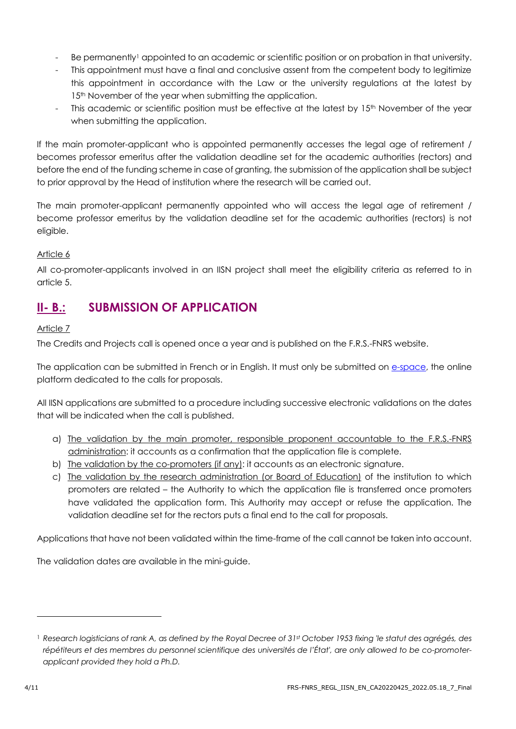- Be permanently<sup>1</sup> appointed to an academic or scientific position or on probation in that university.
- This appointment must have a final and conclusive assent from the competent body to legitimize this appointment in accordance with the Law or the university regulations at the latest by 15<sup>th</sup> November of the year when submitting the application.
- This academic or scientific position must be effective at the latest by 15<sup>th</sup> November of the year when submitting the application.

If the main promoter-applicant who is appointed permanently accesses the legal age of retirement / becomes professor emeritus after the validation deadline set for the academic authorities (rectors) and before the end of the funding scheme in case of granting, the submission of the application shall be subject to prior approval by the Head of institution where the research will be carried out.

The main promoter-applicant permanently appointed who will access the legal age of retirement / become professor emeritus by the validation deadline set for the academic authorities (rectors) is not eligible.

#### Article 6

All co-promoter-applicants involved in an IISN project shall meet the eligibility criteria as referred to in article 5.

## **II- B.: SUBMISSION OF APPLICATION**

#### Article 7

The Credits and Projects call is opened once a year and is published on the F.R.S.-FNRS website.

The application can be submitted in French or in English. It must only be submitted on [e-space,](https://e-space.frs-fnrs.be/) the online platform dedicated to the calls for proposals.

All IISN applications are submitted to a procedure including successive electronic validations on the dates that will be indicated when the call is published.

- a) The validation by the main promoter, responsible proponent accountable to the F.R.S.-FNRS administration: it accounts as a confirmation that the application file is complete.
- b) The validation by the co-promoters (if any): it accounts as an electronic signature.
- c) The validation by the research administration (or Board of Education) of the institution to which promoters are related – the Authority to which the application file is transferred once promoters have validated the application form. This Authority may accept or refuse the application. The validation deadline set for the rectors puts a final end to the call for proposals.

Applications that have not been validated within the time-frame of the call cannot be taken into account.

The validation dates are available in the mini-guide.

<sup>1</sup> *Research logisticians of rank A, as defined by the Royal Decree of 31st October 1953 fixing 'le statut des agrégés, des répétiteurs et des membres du personnel scientifique des universités de l'État', are only allowed to be co-promoterapplicant provided they hold a Ph.D.*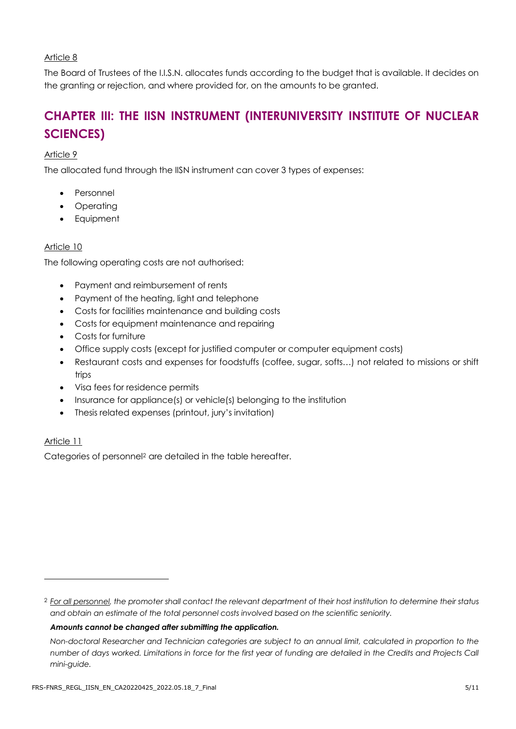#### Article 8

The Board of Trustees of the I.I.S.N. allocates funds according to the budget that is available. It decides on the granting or rejection, and where provided for, on the amounts to be granted.

## **CHAPTER III: THE IISN INSTRUMENT (INTERUNIVERSITY INSTITUTE OF NUCLEAR SCIENCES)**

#### Article 9

The allocated fund through the IISN instrument can cover 3 types of expenses:

- Personnel
- Operating
- **Equipment**

#### Article 10

The following operating costs are not authorised:

- Payment and reimbursement of rents
- Payment of the heating, light and telephone
- Costs for facilities maintenance and building costs
- Costs for equipment maintenance and repairing
- Costs for furniture
- Office supply costs (except for justified computer or computer equipment costs)
- Restaurant costs and expenses for foodstuffs (coffee, sugar, softs…) not related to missions or shift trips
- Visa fees for residence permits
- Insurance for appliance(s) or vehicle(s) belonging to the institution
- Thesis related expenses (printout, jury's invitation)

#### Article 11

Categories of personnel<sup>2</sup> are detailed in the table hereafter.

#### *Amounts cannot be changed after submitting the application.*

<sup>2</sup> *For all personnel, the promoter shall contact the relevant department of their host institution to determine their status and obtain an estimate of the total personnel costs involved based on the scientific seniority.*

*Non-doctoral Researcher and Technician categories are subject to an annual limit, calculated in proportion to the number of days worked. Limitations in force for the first year of funding are detailed in the Credits and Projects Call mini-guide.*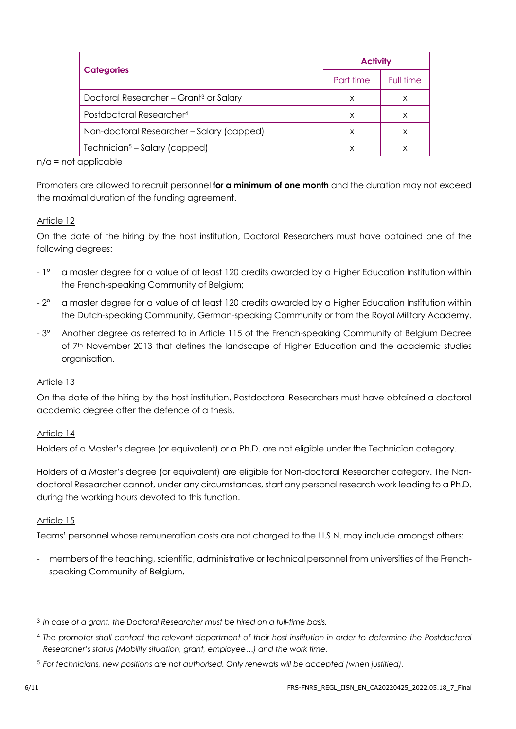|                                                    | <b>Activity</b> |           |
|----------------------------------------------------|-----------------|-----------|
| <b>Categories</b>                                  | Part time       | Full time |
| Doctoral Researcher - Grant <sup>3</sup> or Salary | X               | X         |
| Postdoctoral Researcher <sup>4</sup>               | X               | х         |
| Non-doctoral Researcher - Salary (capped)          | X               | х         |
| Technician <sup>5</sup> – Salary (capped)          | x               | X         |

 $n/a$  = not applicable

Promoters are allowed to recruit personnel **for a minimum of one month** and the duration may not exceed the maximal duration of the funding agreement.

#### Article 12

On the date of the hiring by the host institution, Doctoral Researchers must have obtained one of the following degrees:

- 1° a master degree for a value of at least 120 credits awarded by a Higher Education Institution within the French-speaking Community of Belgium;
- 2° a master degree for a value of at least 120 credits awarded by a Higher Education Institution within the Dutch-speaking Community, German-speaking Community or from the Royal Military Academy.
- 3° Another degree as referred to in Article 115 of the French-speaking Community of Belgium Decree of 7th November 2013 that defines the landscape of Higher Education and the academic studies organisation.

#### Article 13

On the date of the hiring by the host institution, Postdoctoral Researchers must have obtained a doctoral academic degree after the defence of a thesis.

#### Article 14

Holders of a Master's degree (or equivalent) or a Ph.D. are not eligible under the Technician category.

Holders of a Master's degree (or equivalent) are eligible for Non-doctoral Researcher category. The Nondoctoral Researcher cannot, under any circumstances, start any personal research work leading to a Ph.D. during the working hours devoted to this function.

#### Article 15

Teams' personnel whose remuneration costs are not charged to the I.I.S.N. may include amongst others:

- members of the teaching, scientific, administrative or technical personnel from universities of the Frenchspeaking Community of Belgium,

<sup>3</sup> *In case of a grant, the Doctoral Researcher must be hired on a full-time basis.*

<sup>4</sup> *The promoter shall contact the relevant department of their host institution in order to determine the Postdoctoral Researcher's status (Mobility situation, grant, employee…) and the work time.*

<sup>5</sup> *For technicians, new positions are not authorised. Only renewals will be accepted (when justified).*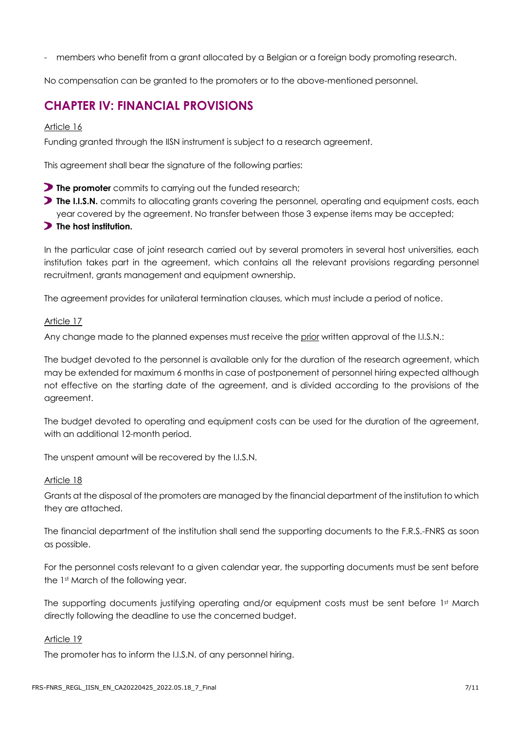members who benefit from a grant allocated by a Belgian or a foreign body promoting research.

No compensation can be granted to the promoters or to the above-mentioned personnel.

## **CHAPTER IV: FINANCIAL PROVISIONS**

#### Article 16

Funding granted through the IISN instrument is subject to a research agreement.

This agreement shall bear the signature of the following parties:

- **The promoter** commits to carrying out the funded research;
- **The I.I.S.N.** commits to allocating grants covering the personnel, operating and equipment costs, each year covered by the agreement. No transfer between those 3 expense items may be accepted;

#### **The host institution.**

In the particular case of joint research carried out by several promoters in several host universities, each institution takes part in the agreement, which contains all the relevant provisions regarding personnel recruitment, grants management and equipment ownership.

The agreement provides for unilateral termination clauses, which must include a period of notice.

#### Article 17

Any change made to the planned expenses must receive the prior written approval of the I.I.S.N.:

The budget devoted to the personnel is available only for the duration of the research agreement, which may be extended for maximum 6 months in case of postponement of personnel hiring expected although not effective on the starting date of the agreement, and is divided according to the provisions of the agreement.

The budget devoted to operating and equipment costs can be used for the duration of the agreement, with an additional 12-month period.

The unspent amount will be recovered by the I.I.S.N.

#### Article 18

Grants at the disposal of the promoters are managed by the financial department of the institution to which they are attached.

The financial department of the institution shall send the supporting documents to the F.R.S.-FNRS as soon as possible.

For the personnel costs relevant to a given calendar year, the supporting documents must be sent before the 1st March of the following year.

The supporting documents justifying operating and/or equipment costs must be sent before 1st March directly following the deadline to use the concerned budget.

#### Article 19

The promoter has to inform the I.I.S.N. of any personnel hiring.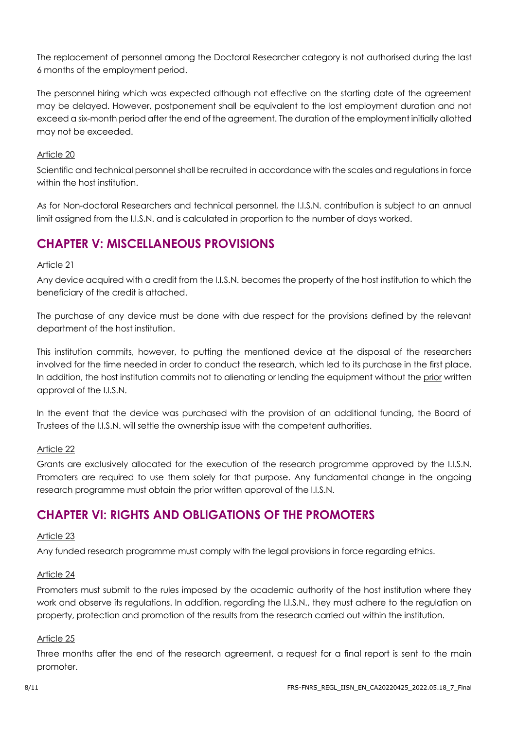The replacement of personnel among the Doctoral Researcher category is not authorised during the last 6 months of the employment period.

The personnel hiring which was expected although not effective on the starting date of the agreement may be delayed. However, postponement shall be equivalent to the lost employment duration and not exceed a six-month period after the end of the agreement. The duration of the employment initially allotted may not be exceeded.

#### Article 20

Scientific and technical personnel shall be recruited in accordance with the scales and regulations in force within the host institution.

As for Non-doctoral Researchers and technical personnel, the I.I.S.N. contribution is subject to an annual limit assigned from the I.I.S.N. and is calculated in proportion to the number of days worked.

## **CHAPTER V: MISCELLANEOUS PROVISIONS**

#### Article 21

Any device acquired with a credit from the I.I.S.N. becomes the property of the host institution to which the beneficiary of the credit is attached.

The purchase of any device must be done with due respect for the provisions defined by the relevant department of the host institution.

This institution commits, however, to putting the mentioned device at the disposal of the researchers involved for the time needed in order to conduct the research, which led to its purchase in the first place. In addition, the host institution commits not to alienating or lending the equipment without the prior written approval of the I.I.S.N.

In the event that the device was purchased with the provision of an additional funding, the Board of Trustees of the I.I.S.N. will settle the ownership issue with the competent authorities.

#### Article 22

Grants are exclusively allocated for the execution of the research programme approved by the I.I.S.N. Promoters are required to use them solely for that purpose. Any fundamental change in the ongoing research programme must obtain the prior written approval of the I.I.S.N.

## **CHAPTER VI: RIGHTS AND OBLIGATIONS OF THE PROMOTERS**

#### Article 23

Any funded research programme must comply with the legal provisions in force regarding ethics.

#### Article 24

Promoters must submit to the rules imposed by the academic authority of the host institution where they work and observe its regulations. In addition, regarding the I.I.S.N., they must adhere to the regulation on property, protection and promotion of the results from the research carried out within the institution.

#### Article 25

Three months after the end of the research agreement, a request for a final report is sent to the main promoter.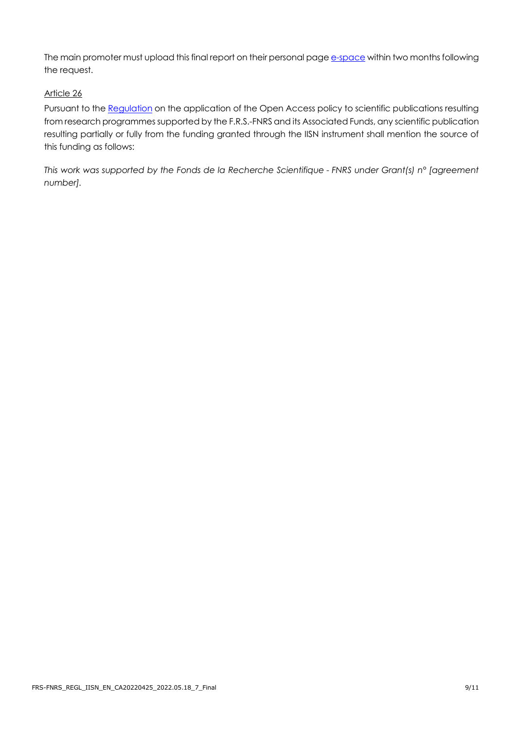The main promoter must upload this final report on their personal page [e-space](https://e-space.frs-fnrs.be/) within two months following the request.

#### Article 26

Pursuant to the [Regulation](https://www.frs-fnrs.be/en/docs/Reglement_OPEN_ACCESS_EN.pdf) on the application of the Open Access policy to scientific publications resulting from research programmes supported by the F.R.S.-FNRS and its Associated Funds, any scientific publication resulting partially or fully from the funding granted through the IISN instrument shall mention the source of this funding as follows:

*This work was supported by the Fonds de la Recherche Scientifique - FNRS under Grant(s) n° [agreement number].*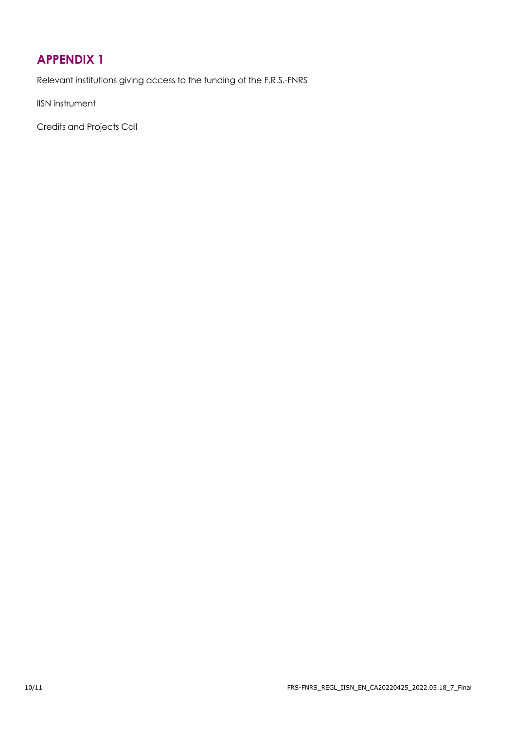## <span id="page-9-0"></span>**APPENDIX 1**

Relevant institutions giving access to the funding of the F.R.S.-FNRS

IISN instrument

Credits and Projects Call